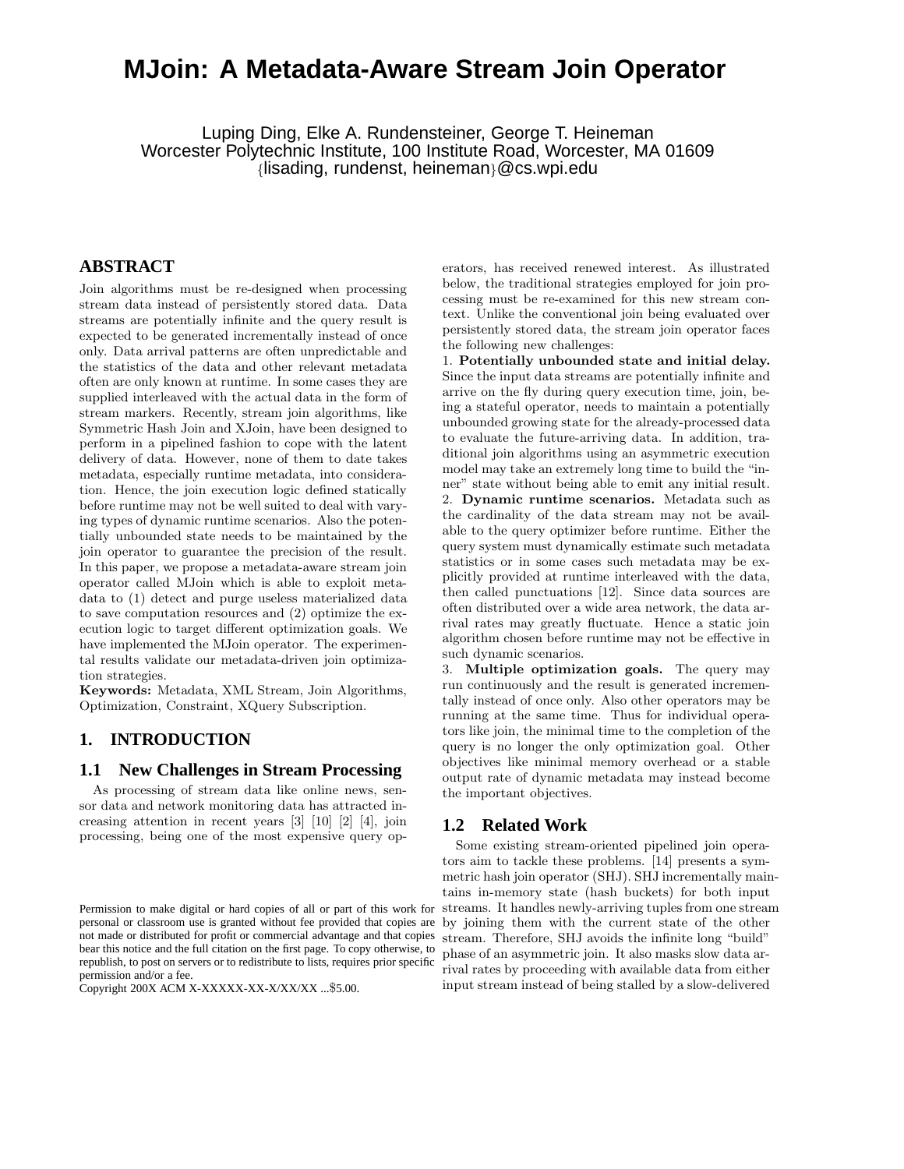# **MJoin: A Metadata-Aware Stream Join Operator**

Luping Ding, Elke A. Rundensteiner, George T. Heineman Worcester Polytechnic Institute, 100 Institute Road, Worcester, MA 01609 *{*lisading, rundenst, heineman*}*@cs.wpi.edu

# **ABSTRACT**

Join algorithms must be re-designed when processing stream data instead of persistently stored data. Data streams are potentially infinite and the query result is expected to be generated incrementally instead of once only. Data arrival patterns are often unpredictable and the statistics of the data and other relevant metadata often are only known at runtime. In some cases they are supplied interleaved with the actual data in the form of stream markers. Recently, stream join algorithms, like Symmetric Hash Join and XJoin, have been designed to perform in a pipelined fashion to cope with the latent delivery of data. However, none of them to date takes metadata, especially runtime metadata, into consideration. Hence, the join execution logic defined statically before runtime may not be well suited to deal with varying types of dynamic runtime scenarios. Also the potentially unbounded state needs to be maintained by the join operator to guarantee the precision of the result. In this paper, we propose a metadata-aware stream join operator called MJoin which is able to exploit metadata to (1) detect and purge useless materialized data to save computation resources and (2) optimize the execution logic to target different optimization goals. We have implemented the MJoin operator. The experimental results validate our metadata-driven join optimization strategies.

**Keywords:** Metadata, XML Stream, Join Algorithms, Optimization, Constraint, XQuery Subscription.

## **1. INTRODUCTION**

#### **1.1 New Challenges in Stream Processing**

As processing of stream data like online news, sensor data and network monitoring data has attracted increasing attention in recent years [3] [10] [2] [4], join processing, being one of the most expensive query op-

Copyright 200X ACM X-XXXXX-XX-X/XX/XX ...\$5.00.

erators, has received renewed interest. As illustrated below, the traditional strategies employed for join processing must be re-examined for this new stream context. Unlike the conventional join being evaluated over persistently stored data, the stream join operator faces the following new challenges:

1. **Potentially unbounded state and initial delay.** Since the input data streams are potentially infinite and arrive on the fly during query execution time, join, being a stateful operator, needs to maintain a potentially unbounded growing state for the already-processed data to evaluate the future-arriving data. In addition, traditional join algorithms using an asymmetric execution model may take an extremely long time to build the "inner" state without being able to emit any initial result. 2. **Dynamic runtime scenarios.** Metadata such as the cardinality of the data stream may not be available to the query optimizer before runtime. Either the query system must dynamically estimate such metadata statistics or in some cases such metadata may be explicitly provided at runtime interleaved with the data, then called punctuations [12]. Since data sources are often distributed over a wide area network, the data arrival rates may greatly fluctuate. Hence a static join algorithm chosen before runtime may not be effective in such dynamic scenarios.

3. **Multiple optimization goals.** The query may run continuously and the result is generated incrementally instead of once only. Also other operators may be running at the same time. Thus for individual operators like join, the minimal time to the completion of the query is no longer the only optimization goal. Other objectives like minimal memory overhead or a stable output rate of dynamic metadata may instead become the important objectives.

#### **1.2 Related Work**

Some existing stream-oriented pipelined join operators aim to tackle these problems. [14] presents a symmetric hash join operator (SHJ). SHJ incrementally maintains in-memory state (hash buckets) for both input streams. It handles newly-arriving tuples from one stream by joining them with the current state of the other stream. Therefore, SHJ avoids the infinite long "build" phase of an asymmetric join. It also masks slow data arrival rates by proceeding with available data from either input stream instead of being stalled by a slow-delivered

Permission to make digital or hard copies of all or part of this work for personal or classroom use is granted without fee provided that copies are not made or distributed for profit or commercial advantage and that copies bear this notice and the full citation on the first page. To copy otherwise, to republish, to post on servers or to redistribute to lists, requires prior specific permission and/or a fee.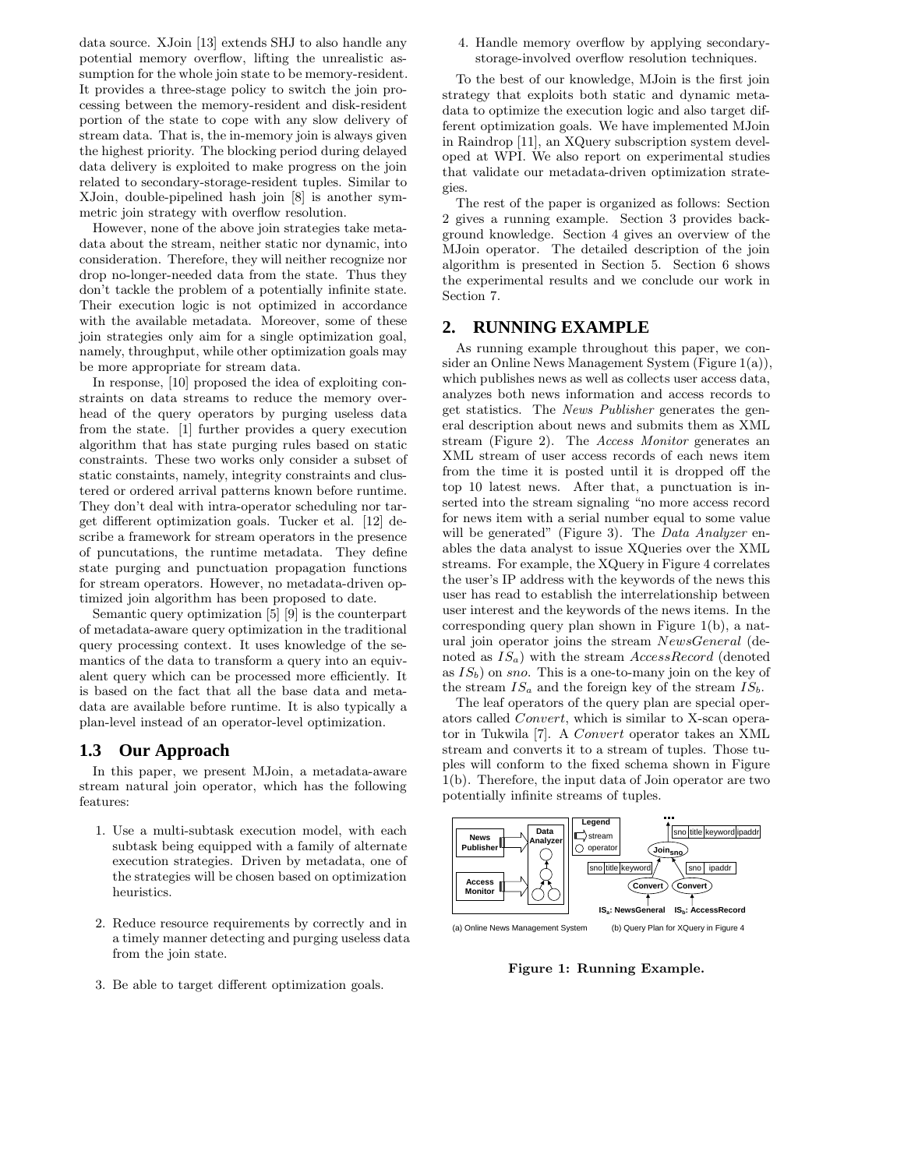data source. XJoin [13] extends SHJ to also handle any potential memory overflow, lifting the unrealistic assumption for the whole join state to be memory-resident. It provides a three-stage policy to switch the join processing between the memory-resident and disk-resident portion of the state to cope with any slow delivery of stream data. That is, the in-memory join is always given the highest priority. The blocking period during delayed data delivery is exploited to make progress on the join related to secondary-storage-resident tuples. Similar to XJoin, double-pipelined hash join [8] is another symmetric join strategy with overflow resolution.

However, none of the above join strategies take metadata about the stream, neither static nor dynamic, into consideration. Therefore, they will neither recognize nor drop no-longer-needed data from the state. Thus they don't tackle the problem of a potentially infinite state. Their execution logic is not optimized in accordance with the available metadata. Moreover, some of these join strategies only aim for a single optimization goal, namely, throughput, while other optimization goals may be more appropriate for stream data.

In response, [10] proposed the idea of exploiting constraints on data streams to reduce the memory overhead of the query operators by purging useless data from the state. [1] further provides a query execution algorithm that has state purging rules based on static constraints. These two works only consider a subset of static constaints, namely, integrity constraints and clustered or ordered arrival patterns known before runtime. They don't deal with intra-operator scheduling nor target different optimization goals. Tucker et al. [12] describe a framework for stream operators in the presence of puncutations, the runtime metadata. They define state purging and punctuation propagation functions for stream operators. However, no metadata-driven optimized join algorithm has been proposed to date.

Semantic query optimization [5] [9] is the counterpart of metadata-aware query optimization in the traditional query processing context. It uses knowledge of the semantics of the data to transform a query into an equivalent query which can be processed more efficiently. It is based on the fact that all the base data and metadata are available before runtime. It is also typically a plan-level instead of an operator-level optimization.

## **1.3 Our Approach**

In this paper, we present MJoin, a metadata-aware stream natural join operator, which has the following features:

- 1. Use a multi-subtask execution model, with each subtask being equipped with a family of alternate execution strategies. Driven by metadata, one of the strategies will be chosen based on optimization heuristics.
- 2. Reduce resource requirements by correctly and in a timely manner detecting and purging useless data from the join state.
- 3. Be able to target different optimization goals.

4. Handle memory overflow by applying secondarystorage-involved overflow resolution techniques.

To the best of our knowledge, MJoin is the first join strategy that exploits both static and dynamic metadata to optimize the execution logic and also target different optimization goals. We have implemented MJoin in Raindrop [11], an XQuery subscription system developed at WPI. We also report on experimental studies that validate our metadata-driven optimization strategies.

The rest of the paper is organized as follows: Section 2 gives a running example. Section 3 provides background knowledge. Section 4 gives an overview of the MJoin operator. The detailed description of the join algorithm is presented in Section 5. Section 6 shows the experimental results and we conclude our work in Section 7.

#### **2. RUNNING EXAMPLE**

As running example throughout this paper, we consider an Online News Management System (Figure 1(a)), which publishes news as well as collects user access data, analyzes both news information and access records to get statistics. The *News Publisher* generates the general description about news and submits them as XML stream (Figure 2). The *Access Monitor* generates an XML stream of user access records of each news item from the time it is posted until it is dropped off the top 10 latest news. After that, a punctuation is inserted into the stream signaling "no more access record for news item with a serial number equal to some value will be generated" (Figure 3). The *Data Analyzer* enables the data analyst to issue XQueries over the XML streams. For example, the XQuery in Figure 4 correlates the user's IP address with the keywords of the news this user has read to establish the interrelationship between user interest and the keywords of the news items. In the corresponding query plan shown in Figure 1(b), a natural join operator joins the stream *NewsGeneral* (denoted as *ISa*) with the stream *AccessRecord* (denoted as *ISb*) on *sno*. This is a one-to-many join on the key of the stream  $IS_a$  and the foreign key of the stream  $IS_b$ .

The leaf operators of the query plan are special operators called *Convert*, which is similar to X-scan operator in Tukwila [7]. A *Convert* operator takes an XML stream and converts it to a stream of tuples. Those tuples will conform to the fixed schema shown in Figure 1(b). Therefore, the input data of Join operator are two potentially infinite streams of tuples.



**Figure 1: Running Example.**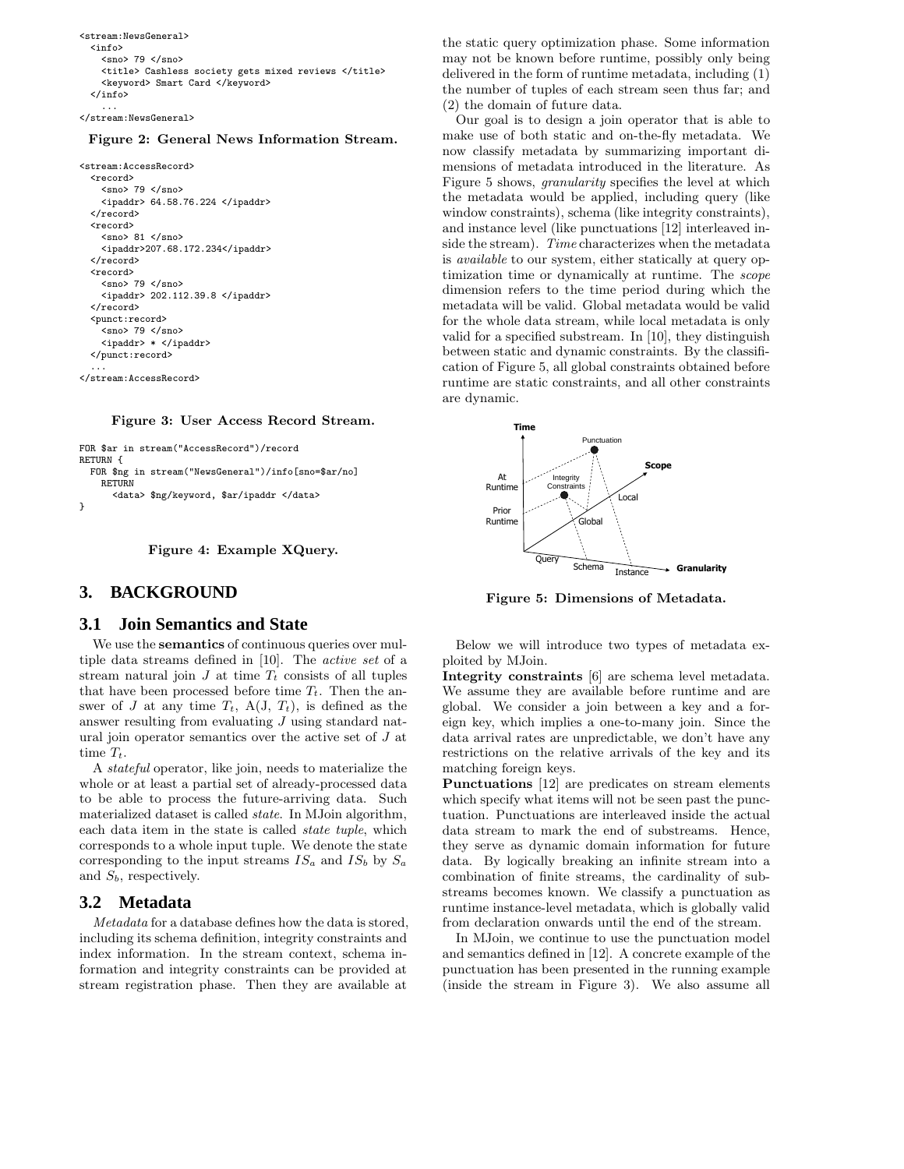```
<stream:NewsGeneral>
  <info>
    \langlesno> 79 \langle/sno>
    <title> Cashless society gets mixed reviews </title>
    <keyword> Smart Card </keyword>
  </info>
    ...
```
#### </stream:NewsGeneral>

#### **Figure 2: General News Information Stream.**

```
<stream:AccessRecord>
  <record>
    \langlesno> 79 \langle/sno>
    <ipaddr> 64.58.76.224 </ipaddr>
  </record>
  <record>
    <sno> 81 </sno>
    <ipaddr>207.68.172.234</ipaddr>
  </record>
  <record>
    <sno> 79 </sno>
    <ipaddr> 202.112.39.8 </ipaddr>
  </record>
  <punct:record>
    <sno> 79 </sno>
    <ipaddr> * </ipaddr>
  </punct:record>
  ...
</stream:AccessRecord>
```
**Figure 3: User Access Record Stream.**

```
FOR $ar in stream("AccessRecord")/record
RETURN {
  FOR $ng in stream("NewsGeneral")/info[sno=$ar/no]
   RETURN
      <data> $ng/keyword, $ar/ipaddr </data>
}
```
**Figure 4: Example XQuery.**

#### **3. BACKGROUND**

#### **3.1 Join Semantics and State**

We use the **semantics** of continuous queries over multiple data streams defined in [10]. The *active set* of a stream natural join  $J$  at time  $T_t$  consists of all tuples that have been processed before time  $T_t$ . Then the answer of *J* at any time  $T_t$ ,  $A(J, T_t)$ , is defined as the answer resulting from evaluating *J* using standard natural join operator semantics over the active set of *J* at time *Tt*.

A *stateful* operator, like join, needs to materialize the whole or at least a partial set of already-processed data to be able to process the future-arriving data. Such materialized dataset is called *state*. In MJoin algorithm, each data item in the state is called *state tuple*, which corresponds to a whole input tuple. We denote the state corresponding to the input streams  $IS_a$  and  $IS_b$  by  $S_a$ and *Sb*, respectively.

#### **3.2 Metadata**

*Metadata* for a database defines how the data is stored, including its schema definition, integrity constraints and index information. In the stream context, schema information and integrity constraints can be provided at stream registration phase. Then they are available at

the static query optimization phase. Some information may not be known before runtime, possibly only being delivered in the form of runtime metadata, including (1) the number of tuples of each stream seen thus far; and (2) the domain of future data.

Our goal is to design a join operator that is able to make use of both static and on-the-fly metadata. We now classify metadata by summarizing important dimensions of metadata introduced in the literature. As Figure 5 shows, *granularity* specifies the level at which the metadata would be applied, including query (like window constraints), schema (like integrity constraints), and instance level (like punctuations [12] interleaved inside the stream). *Time* characterizes when the metadata is *available* to our system, either statically at query optimization time or dynamically at runtime. The *scope* dimension refers to the time period during which the metadata will be valid. Global metadata would be valid for the whole data stream, while local metadata is only valid for a specified substream. In [10], they distinguish between static and dynamic constraints. By the classification of Figure 5, all global constraints obtained before runtime are static constraints, and all other constraints are dynamic.



**Figure 5: Dimensions of Metadata.**

Below we will introduce two types of metadata exploited by MJoin.

**Integrity constraints** [6] are schema level metadata. We assume they are available before runtime and are global. We consider a join between a key and a foreign key, which implies a one-to-many join. Since the data arrival rates are unpredictable, we don't have any restrictions on the relative arrivals of the key and its matching foreign keys.

**Punctuations** [12] are predicates on stream elements which specify what items will not be seen past the punctuation. Punctuations are interleaved inside the actual data stream to mark the end of substreams. Hence, they serve as dynamic domain information for future data. By logically breaking an infinite stream into a combination of finite streams, the cardinality of substreams becomes known. We classify a punctuation as runtime instance-level metadata, which is globally valid from declaration onwards until the end of the stream.

In MJoin, we continue to use the punctuation model and semantics defined in [12]. A concrete example of the punctuation has been presented in the running example (inside the stream in Figure 3). We also assume all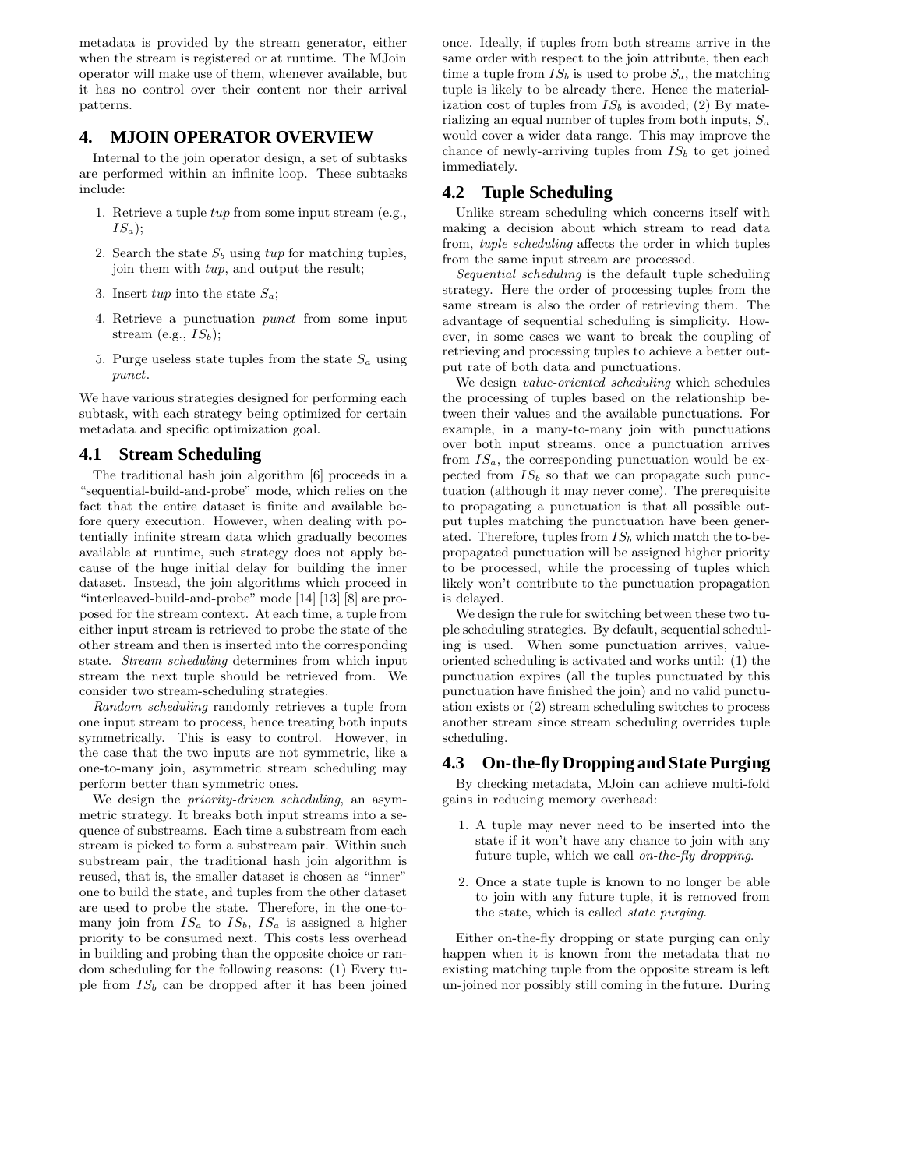metadata is provided by the stream generator, either when the stream is registered or at runtime. The MJoin operator will make use of them, whenever available, but it has no control over their content nor their arrival patterns.

## **4. MJOIN OPERATOR OVERVIEW**

Internal to the join operator design, a set of subtasks are performed within an infinite loop. These subtasks include:

- 1. Retrieve a tuple *tup* from some input stream (e.g., *ISa*);
- 2. Search the state  $S_b$  using  $tup$  for matching tuples, join them with *tup*, and output the result;
- 3. Insert *tup* into the state *Sa*;
- 4. Retrieve a punctuation *punct* from some input stream (e.g., *ISb*);
- 5. Purge useless state tuples from the state  $S_a$  using *punct*.

We have various strategies designed for performing each subtask, with each strategy being optimized for certain metadata and specific optimization goal.

#### **4.1 Stream Scheduling**

The traditional hash join algorithm [6] proceeds in a "sequential-build-and-probe" mode, which relies on the fact that the entire dataset is finite and available before query execution. However, when dealing with potentially infinite stream data which gradually becomes available at runtime, such strategy does not apply because of the huge initial delay for building the inner dataset. Instead, the join algorithms which proceed in "interleaved-build-and-probe" mode [14] [13] [8] are proposed for the stream context. At each time, a tuple from either input stream is retrieved to probe the state of the other stream and then is inserted into the corresponding state. *Stream scheduling* determines from which input stream the next tuple should be retrieved from. We consider two stream-scheduling strategies.

*Random scheduling* randomly retrieves a tuple from one input stream to process, hence treating both inputs symmetrically. This is easy to control. However, in the case that the two inputs are not symmetric, like a one-to-many join, asymmetric stream scheduling may perform better than symmetric ones.

We design the *priority-driven scheduling*, an asymmetric strategy. It breaks both input streams into a sequence of substreams. Each time a substream from each stream is picked to form a substream pair. Within such substream pair, the traditional hash join algorithm is reused, that is, the smaller dataset is chosen as "inner" one to build the state, and tuples from the other dataset are used to probe the state. Therefore, in the one-tomany join from  $IS_a$  to  $IS_b$ ,  $IS_a$  is assigned a higher priority to be consumed next. This costs less overhead in building and probing than the opposite choice or random scheduling for the following reasons: (1) Every tuple from *IS<sup>b</sup>* can be dropped after it has been joined

once. Ideally, if tuples from both streams arrive in the same order with respect to the join attribute, then each time a tuple from  $IS_b$  is used to probe  $S_a$ , the matching tuple is likely to be already there. Hence the materialization cost of tuples from  $IS_b$  is avoided; (2) By materializing an equal number of tuples from both inputs, *S<sup>a</sup>* would cover a wider data range. This may improve the chance of newly-arriving tuples from  $IS_b$  to get joined immediately.

#### **4.2 Tuple Scheduling**

Unlike stream scheduling which concerns itself with making a decision about which stream to read data from, *tuple scheduling* affects the order in which tuples from the same input stream are processed.

*Sequential scheduling* is the default tuple scheduling strategy. Here the order of processing tuples from the same stream is also the order of retrieving them. The advantage of sequential scheduling is simplicity. However, in some cases we want to break the coupling of retrieving and processing tuples to achieve a better output rate of both data and punctuations.

We design *value-oriented scheduling* which schedules the processing of tuples based on the relationship between their values and the available punctuations. For example, in a many-to-many join with punctuations over both input streams, once a punctuation arrives from  $IS_a$ , the corresponding punctuation would be expected from  $IS_b$  so that we can propagate such punctuation (although it may never come). The prerequisite to propagating a punctuation is that all possible output tuples matching the punctuation have been generated. Therefore, tuples from  $IS_b$  which match the to-bepropagated punctuation will be assigned higher priority to be processed, while the processing of tuples which likely won't contribute to the punctuation propagation is delayed.

We design the rule for switching between these two tuple scheduling strategies. By default, sequential scheduling is used. When some punctuation arrives, valueoriented scheduling is activated and works until: (1) the punctuation expires (all the tuples punctuated by this punctuation have finished the join) and no valid punctuation exists or (2) stream scheduling switches to process another stream since stream scheduling overrides tuple scheduling.

#### **4.3 On-the-fly Dropping and State Purging**

By checking metadata, MJoin can achieve multi-fold gains in reducing memory overhead:

- 1. A tuple may never need to be inserted into the state if it won't have any chance to join with any future tuple, which we call *on-the-fly dropping*.
- 2. Once a state tuple is known to no longer be able to join with any future tuple, it is removed from the state, which is called *state purging*.

Either on-the-fly dropping or state purging can only happen when it is known from the metadata that no existing matching tuple from the opposite stream is left un-joined nor possibly still coming in the future. During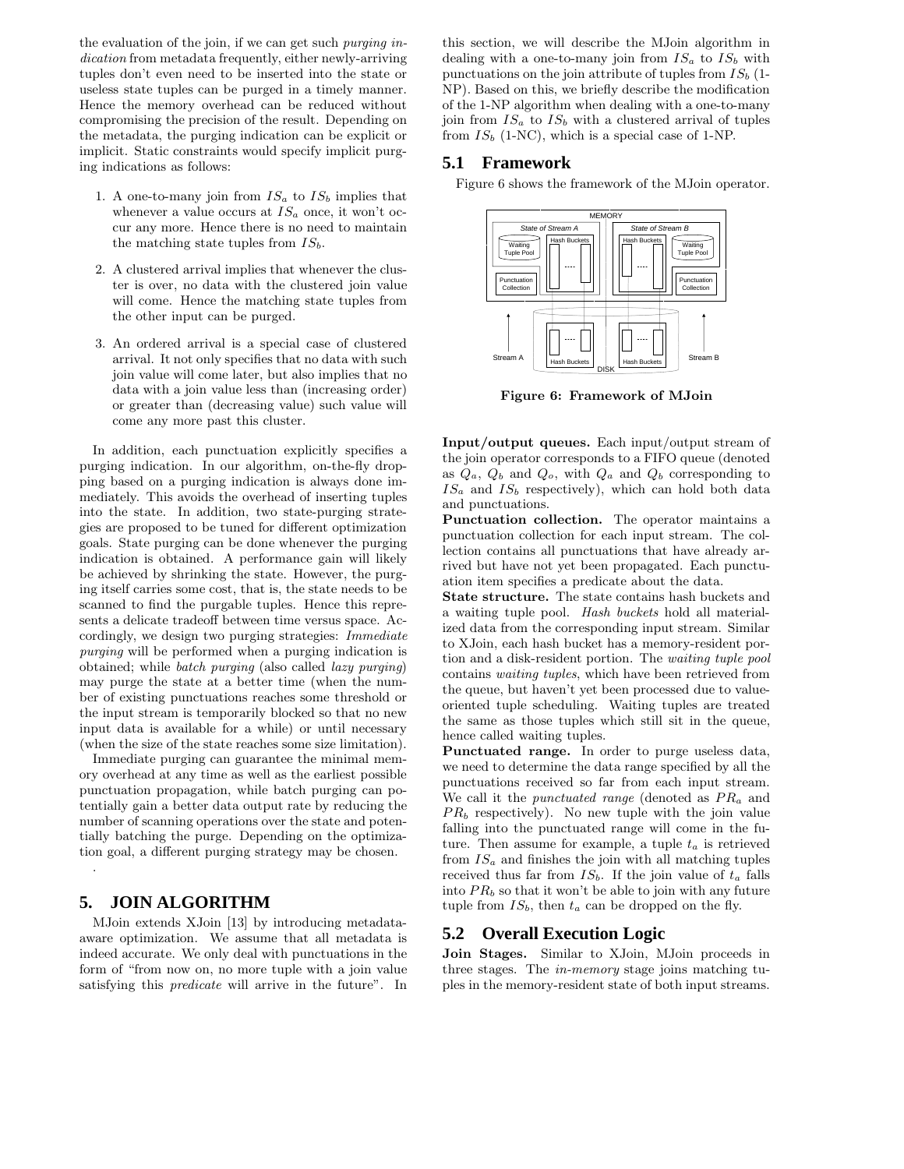the evaluation of the join, if we can get such *purging indication* from metadata frequently, either newly-arriving tuples don't even need to be inserted into the state or useless state tuples can be purged in a timely manner. Hence the memory overhead can be reduced without compromising the precision of the result. Depending on the metadata, the purging indication can be explicit or implicit. Static constraints would specify implicit purging indications as follows:

- 1. A one-to-many join from  $IS_a$  to  $IS_b$  implies that whenever a value occurs at *IS<sup>a</sup>* once, it won't occur any more. Hence there is no need to maintain the matching state tuples from *ISb*.
- 2. A clustered arrival implies that whenever the cluster is over, no data with the clustered join value will come. Hence the matching state tuples from the other input can be purged.
- 3. An ordered arrival is a special case of clustered arrival. It not only specifies that no data with such join value will come later, but also implies that no data with a join value less than (increasing order) or greater than (decreasing value) such value will come any more past this cluster.

In addition, each punctuation explicitly specifies a purging indication. In our algorithm, on-the-fly dropping based on a purging indication is always done immediately. This avoids the overhead of inserting tuples into the state. In addition, two state-purging strategies are proposed to be tuned for different optimization goals. State purging can be done whenever the purging indication is obtained. A performance gain will likely be achieved by shrinking the state. However, the purging itself carries some cost, that is, the state needs to be scanned to find the purgable tuples. Hence this represents a delicate tradeoff between time versus space. Accordingly, we design two purging strategies: *Immediate purging* will be performed when a purging indication is obtained; while *batch purging* (also called *lazy purging*) may purge the state at a better time (when the number of existing punctuations reaches some threshold or the input stream is temporarily blocked so that no new input data is available for a while) or until necessary (when the size of the state reaches some size limitation).

Immediate purging can guarantee the minimal memory overhead at any time as well as the earliest possible punctuation propagation, while batch purging can potentially gain a better data output rate by reducing the number of scanning operations over the state and potentially batching the purge. Depending on the optimization goal, a different purging strategy may be chosen. .

# **5. JOIN ALGORITHM**

MJoin extends XJoin [13] by introducing metadataaware optimization. We assume that all metadata is indeed accurate. We only deal with punctuations in the form of "from now on, no more tuple with a join value satisfying this *predicate* will arrive in the future". In

this section, we will describe the MJoin algorithm in dealing with a one-to-many join from  $IS_a$  to  $IS_b$  with punctuations on the join attribute of tuples from *IS<sup>b</sup>* (1- NP). Based on this, we briefly describe the modification of the 1-NP algorithm when dealing with a one-to-many join from  $IS_a$  to  $IS_b$  with a clustered arrival of tuples from  $IS_b$  (1-NC), which is a special case of 1-NP.

#### **5.1 Framework**

Figure 6 shows the framework of the MJoin operator.



**Figure 6: Framework of MJoin**

**Input/output queues.** Each input/output stream of the join operator corresponds to a FIFO queue (denoted as  $Q_a$ ,  $Q_b$  and  $Q_o$ , with  $Q_a$  and  $Q_b$  corresponding to *IS<sup>a</sup>* and *IS<sup>b</sup>* respectively), which can hold both data and punctuations.

**Punctuation collection.** The operator maintains a punctuation collection for each input stream. The collection contains all punctuations that have already arrived but have not yet been propagated. Each punctuation item specifies a predicate about the data.

**State structure.** The state contains hash buckets and a waiting tuple pool. *Hash buckets* hold all materialized data from the corresponding input stream. Similar to XJoin, each hash bucket has a memory-resident portion and a disk-resident portion. The *waiting tuple pool* contains *waiting tuples*, which have been retrieved from the queue, but haven't yet been processed due to valueoriented tuple scheduling. Waiting tuples are treated the same as those tuples which still sit in the queue, hence called waiting tuples.

**Punctuated range.** In order to purge useless data, we need to determine the data range specified by all the punctuations received so far from each input stream. We call it the *punctuated range* (denoted as *P R<sup>a</sup>* and *P R<sup>b</sup>* respectively). No new tuple with the join value falling into the punctuated range will come in the future. Then assume for example, a tuple  $t_a$  is retrieved from *IS<sup>a</sup>* and finishes the join with all matching tuples received thus far from  $IS_b$ . If the join value of  $t_a$  falls into  $PR_b$  so that it won't be able to join with any future tuple from  $IS_b$ , then  $t_a$  can be dropped on the fly.

#### **5.2 Overall Execution Logic**

**Join Stages.** Similar to XJoin, MJoin proceeds in three stages. The *in-memory* stage joins matching tuples in the memory-resident state of both input streams.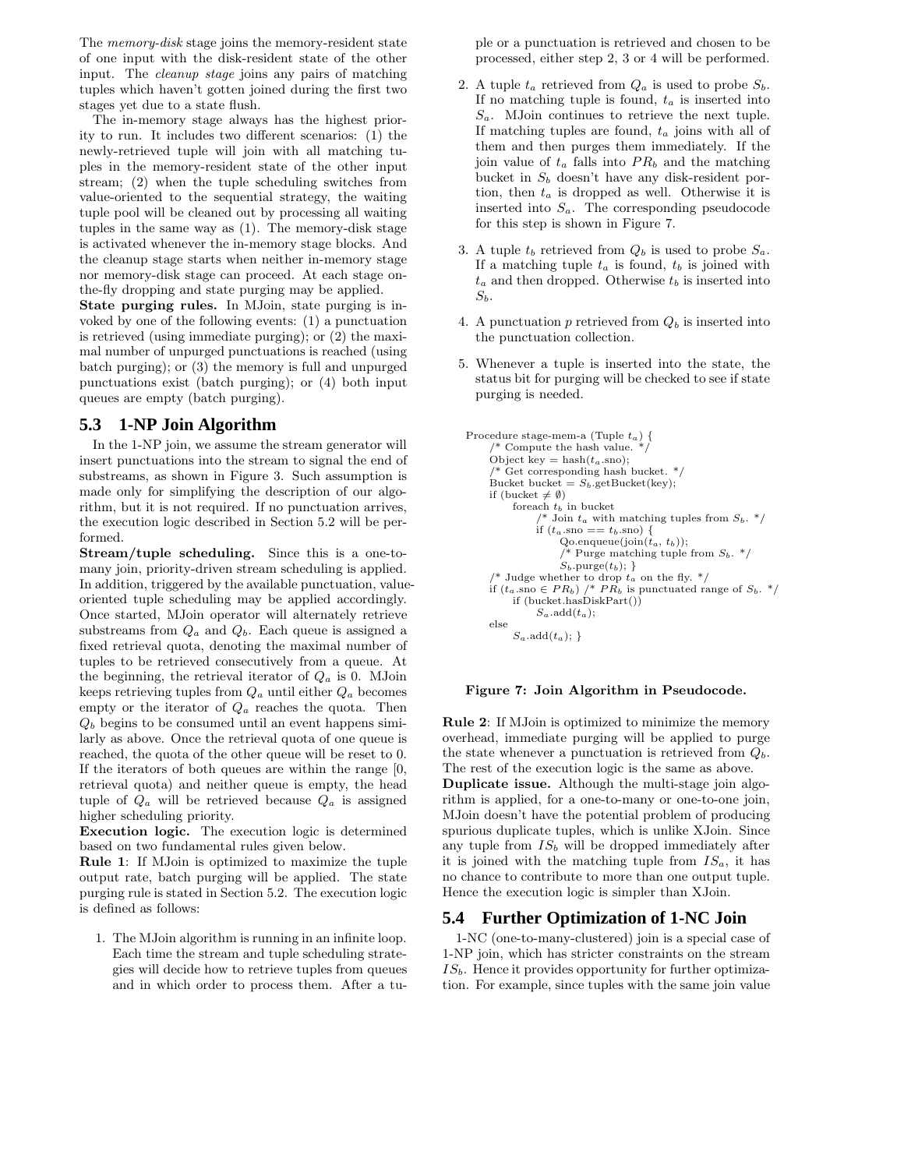The *memory-disk* stage joins the memory-resident state of one input with the disk-resident state of the other input. The *cleanup stage* joins any pairs of matching tuples which haven't gotten joined during the first two stages yet due to a state flush.

The in-memory stage always has the highest priority to run. It includes two different scenarios: (1) the newly-retrieved tuple will join with all matching tuples in the memory-resident state of the other input stream; (2) when the tuple scheduling switches from value-oriented to the sequential strategy, the waiting tuple pool will be cleaned out by processing all waiting tuples in the same way as (1). The memory-disk stage is activated whenever the in-memory stage blocks. And the cleanup stage starts when neither in-memory stage nor memory-disk stage can proceed. At each stage onthe-fly dropping and state purging may be applied.

**State purging rules.** In MJoin, state purging is invoked by one of the following events: (1) a punctuation is retrieved (using immediate purging); or (2) the maximal number of unpurged punctuations is reached (using batch purging); or (3) the memory is full and unpurged punctuations exist (batch purging); or (4) both input queues are empty (batch purging).

#### **5.3 1-NP Join Algorithm**

In the 1-NP join, we assume the stream generator will insert punctuations into the stream to signal the end of substreams, as shown in Figure 3. Such assumption is made only for simplifying the description of our algorithm, but it is not required. If no punctuation arrives, the execution logic described in Section 5.2 will be performed.

**Stream/tuple scheduling.** Since this is a one-tomany join, priority-driven stream scheduling is applied. In addition, triggered by the available punctuation, valueoriented tuple scheduling may be applied accordingly. Once started, MJoin operator will alternately retrieve substreams from *Q<sup>a</sup>* and *Qb*. Each queue is assigned a fixed retrieval quota, denoting the maximal number of tuples to be retrieved consecutively from a queue. At the beginning, the retrieval iterator of  $Q_a$  is 0. MJoin keeps retrieving tuples from  $Q_a$  until either  $Q_a$  becomes empty or the iterator of  $Q_a$  reaches the quota. Then  $Q_b$  begins to be consumed until an event happens similarly as above. Once the retrieval quota of one queue is reached, the quota of the other queue will be reset to 0. If the iterators of both queues are within the range [0, retrieval quota) and neither queue is empty, the head tuple of  $Q_a$  will be retrieved because  $Q_a$  is assigned higher scheduling priority.

**Execution logic.** The execution logic is determined based on two fundamental rules given below.

**Rule 1**: If MJoin is optimized to maximize the tuple output rate, batch purging will be applied. The state purging rule is stated in Section 5.2. The execution logic is defined as follows:

1. The MJoin algorithm is running in an infinite loop. Each time the stream and tuple scheduling strategies will decide how to retrieve tuples from queues and in which order to process them. After a tu-

ple or a punctuation is retrieved and chosen to be processed, either step 2, 3 or 4 will be performed.

- 2. A tuple  $t_a$  retrieved from  $Q_a$  is used to probe  $S_b$ . If no matching tuple is found, *t<sup>a</sup>* is inserted into *Sa*. MJoin continues to retrieve the next tuple. If matching tuples are found, *t<sup>a</sup>* joins with all of them and then purges them immediately. If the join value of  $t_a$  falls into  $PR_b$  and the matching bucket in *S<sup>b</sup>* doesn't have any disk-resident portion, then *t<sup>a</sup>* is dropped as well. Otherwise it is inserted into  $S_a$ . The corresponding pseudocode for this step is shown in Figure 7.
- 3. A tuple  $t_b$  retrieved from  $Q_b$  is used to probe  $S_a$ . If a matching tuple  $t_a$  is found,  $t_b$  is joined with  $t_a$  and then dropped. Otherwise  $t_b$  is inserted into *Sb*.
- 4. A punctuation  $p$  retrieved from  $Q_b$  is inserted into the punctuation collection.
- 5. Whenever a tuple is inserted into the state, the status bit for purging will be checked to see if state purging is needed.

```
Procedure stage-mem-a (Tuple ta) {
        * Compute the hash value.
      Object key = hash(t_a.sno);
       /* Get corresponding hash bucket. */
      Bucket bucket = S_b.getBucket(key);
     if (bucket \neq \emptyset)
           foreach t_b in bucket
                  \frac{1}{4} Join t_a with matching tuples from S_b. */
                  if (t_a sno == t_b sno) {
                        Qo.enqueue(join(t_a, t_b));<br>/* Purge matching tuple from S_b. */
                        Sb.purge(tb); }
      /<sup>*</sup> Judge whether to drop t_a on the fly. <sup>*</sup>/<br>if (t_a sno ∈ PR_b /<sup>*</sup> PR_b is punctuated range of S_b. */
           if (bucket.hasDiskPart())
                 Sa.add(ta);
     else
           S_a.\text{add}(t_a); }
```
#### **Figure 7: Join Algorithm in Pseudocode.**

**Rule 2**: If MJoin is optimized to minimize the memory overhead, immediate purging will be applied to purge the state whenever a punctuation is retrieved from *Qb*. The rest of the execution logic is the same as above. **Duplicate issue.** Although the multi-stage join algorithm is applied, for a one-to-many or one-to-one join, MJoin doesn't have the potential problem of producing spurious duplicate tuples, which is unlike XJoin. Since any tuple from  $IS<sub>b</sub>$  will be dropped immediately after it is joined with the matching tuple from  $IS_a$ , it has no chance to contribute to more than one output tuple. Hence the execution logic is simpler than XJoin.

#### **5.4 Further Optimization of 1-NC Join**

1-NC (one-to-many-clustered) join is a special case of 1-NP join, which has stricter constraints on the stream *ISb*. Hence it provides opportunity for further optimization. For example, since tuples with the same join value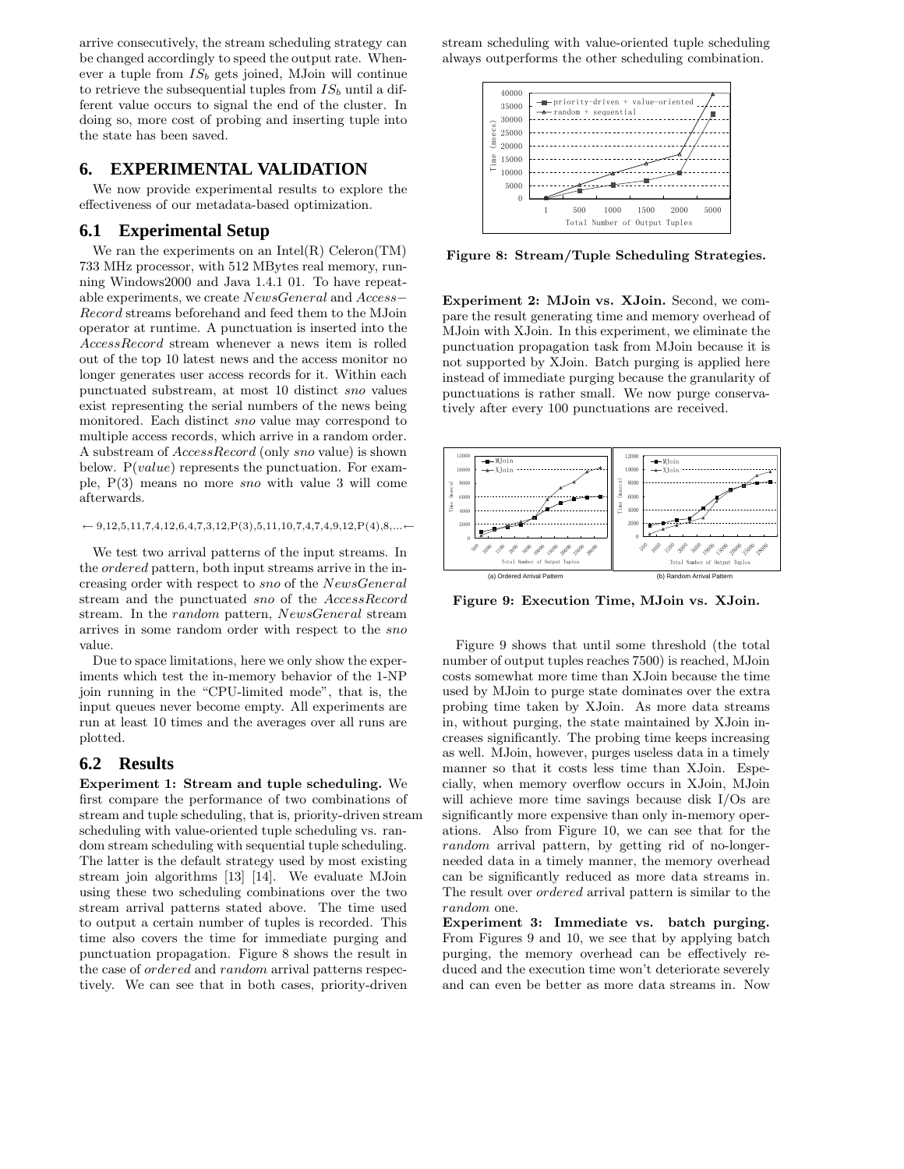arrive consecutively, the stream scheduling strategy can be changed accordingly to speed the output rate. Whenever a tuple from *IS<sup>b</sup>* gets joined, MJoin will continue to retrieve the subsequential tuples from  $IS_b$  until a different value occurs to signal the end of the cluster. In doing so, more cost of probing and inserting tuple into the state has been saved.

# **6. EXPERIMENTAL VALIDATION**

We now provide experimental results to explore the effectiveness of our metadata-based optimization.

### **6.1 Experimental Setup**

We ran the experiments on an  $Intel(R)$  Celeron(TM) 733 MHz processor, with 512 MBytes real memory, running Windows2000 and Java 1.4.1 01. To have repeatable experiments, we create *NewsGeneral* and *Access<sup>−</sup> Record* streams beforehand and feed them to the MJoin operator at runtime. A punctuation is inserted into the *AccessRecord* stream whenever a news item is rolled out of the top 10 latest news and the access monitor no longer generates user access records for it. Within each punctuated substream, at most 10 distinct *sno* values exist representing the serial numbers of the news being monitored. Each distinct *sno* value may correspond to multiple access records, which arrive in a random order. A substream of *AccessRecord* (only *sno* value) is shown below. P(*value*) represents the punctuation. For example, P(3) means no more *sno* with value 3 will come afterwards.

← 9,12,5,11,7,4,12,6,4,7,3,12,P(3),5,11,10,7,4,7,4,9,12,P(4),8,...←

We test two arrival patterns of the input streams. In the *ordered* pattern, both input streams arrive in the increasing order with respect to *sno* of the *NewsGeneral* stream and the punctuated *sno* of the *AccessRecord* stream. In the *random* pattern, *NewsGeneral* stream arrives in some random order with respect to the *sno* value.

Due to space limitations, here we only show the experiments which test the in-memory behavior of the 1-NP join running in the "CPU-limited mode", that is, the input queues never become empty. All experiments are run at least 10 times and the averages over all runs are plotted.

## **6.2 Results**

**Experiment 1: Stream and tuple scheduling.** We first compare the performance of two combinations of stream and tuple scheduling, that is, priority-driven stream scheduling with value-oriented tuple scheduling vs. random stream scheduling with sequential tuple scheduling. The latter is the default strategy used by most existing stream join algorithms [13] [14]. We evaluate MJoin using these two scheduling combinations over the two stream arrival patterns stated above. The time used to output a certain number of tuples is recorded. This time also covers the time for immediate purging and punctuation propagation. Figure 8 shows the result in the case of *ordered* and *random* arrival patterns respectively. We can see that in both cases, priority-driven

stream scheduling with value-oriented tuple scheduling always outperforms the other scheduling combination.



**Figure 8: Stream/Tuple Scheduling Strategies.**

**Experiment 2: MJoin vs. XJoin.** Second, we compare the result generating time and memory overhead of MJoin with XJoin. In this experiment, we eliminate the punctuation propagation task from MJoin because it is not supported by XJoin. Batch purging is applied here instead of immediate purging because the granularity of punctuations is rather small. We now purge conservatively after every 100 punctuations are received.



**Figure 9: Execution Time, MJoin vs. XJoin.**

Figure 9 shows that until some threshold (the total number of output tuples reaches 7500) is reached, MJoin costs somewhat more time than XJoin because the time used by MJoin to purge state dominates over the extra probing time taken by XJoin. As more data streams in, without purging, the state maintained by XJoin increases significantly. The probing time keeps increasing as well. MJoin, however, purges useless data in a timely manner so that it costs less time than XJoin. Especially, when memory overflow occurs in XJoin, MJoin will achieve more time savings because disk I/Os are significantly more expensive than only in-memory operations. Also from Figure 10, we can see that for the *random* arrival pattern, by getting rid of no-longerneeded data in a timely manner, the memory overhead can be significantly reduced as more data streams in. The result over *ordered* arrival pattern is similar to the *random* one.

**Experiment 3: Immediate vs. batch purging.** From Figures 9 and 10, we see that by applying batch purging, the memory overhead can be effectively reduced and the execution time won't deteriorate severely and can even be better as more data streams in. Now